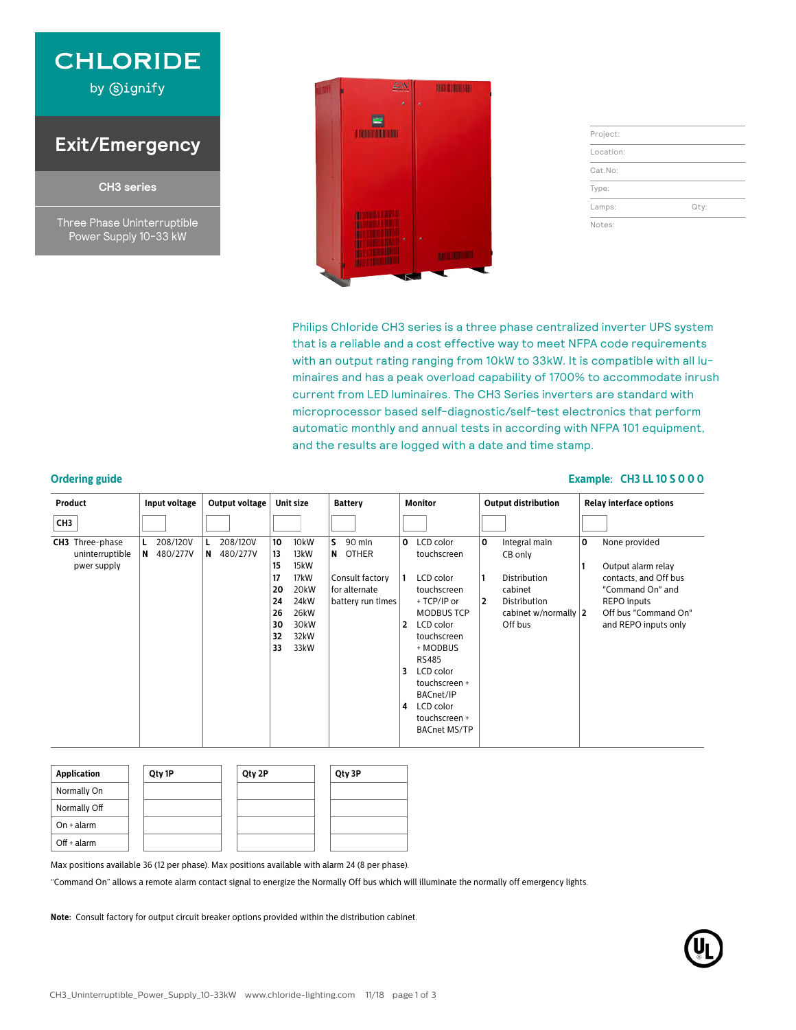

by **Signify** 

### **Exit/Emergency**

**CH3 series**

Three Phase Uninterruptible Power Supply 10-33 kW



| Project:  |      |
|-----------|------|
| Location: |      |
| Cat.No:   |      |
| Type:     |      |
| Lamps:    | Qty: |
| Notes:    |      |

Philips Chloride CH3 series is a three phase centralized inverter UPS system that is a reliable and a cost effective way to meet NFPA code requirements with an output rating ranging from 10kW to 33kW. It is compatible with all luminaires and has a peak overload capability of 1700% to accommodate inrush current from LED luminaires. The CH3 Series inverters are standard with microprocessor based self-diagnostic/self-test electronics that perform automatic monthly and annual tests in according with NFPA 101 equipment, and the results are logged with a date and time stamp.

#### **Ordering guide Example: CH3 LL 10 S 0 0 0**

| <b>Product</b>                                           | Input voltage             | Output voltage            | Unit size                                                                                                                                                                       | <b>Battery</b>                                                                   | <b>Monitor</b>                                                                                                                                                                                                                                                                                    | <b>Output distribution</b>                                                                                                        | <b>Relay interface options</b>                                                                                                                              |
|----------------------------------------------------------|---------------------------|---------------------------|---------------------------------------------------------------------------------------------------------------------------------------------------------------------------------|----------------------------------------------------------------------------------|---------------------------------------------------------------------------------------------------------------------------------------------------------------------------------------------------------------------------------------------------------------------------------------------------|-----------------------------------------------------------------------------------------------------------------------------------|-------------------------------------------------------------------------------------------------------------------------------------------------------------|
| CH <sub>3</sub>                                          |                           |                           |                                                                                                                                                                                 |                                                                                  |                                                                                                                                                                                                                                                                                                   |                                                                                                                                   |                                                                                                                                                             |
| <b>CH3</b> Three-phase<br>uninterruptible<br>pwer supply | 208/120V<br>480/277V<br>N | 208/120V<br>480/277V<br>N | 10<br>10 <sub>k</sub> W<br>13<br>13kW<br>15<br>15kW<br>17<br>17kW<br>20 <sub>k</sub> W<br>20<br>24<br>24 <sub>k</sub> W<br>26<br>26kW<br>30<br>30kW<br>32<br>32kW<br>33<br>33kW | S.<br>90 min<br>N OTHER<br>Consult factory<br>for alternate<br>battery run times | LCD color<br>$\mathbf{o}$<br>touchscreen<br>LCD color<br>1<br>touchscreen<br>+ TCP/IP or<br><b>MODBUS TCP</b><br>$\overline{2}$<br>LCD color<br>touchscreen<br>+ MODBUS<br><b>RS485</b><br>3<br>LCD color<br>touchscreen +<br>BACnet/IP<br>LCD color<br>4<br>touchscreen +<br><b>BACnet MS/TP</b> | 0<br>Integral main<br>CB only<br>Distribution<br>cabinet<br>$\overline{2}$<br>Distribution<br>cabinet w/normally $ 2 $<br>Off bus | None provided<br>0<br>Output alarm relay<br>contacts, and Off bus<br>"Command On" and<br><b>REPO inputs</b><br>Off bus "Command On"<br>and REPO inputs only |

| <b>Application</b> | Qty 1P | Qty 2P | Qty 3P |
|--------------------|--------|--------|--------|
| Normally On        |        |        |        |
| Normally Off       |        |        |        |
| $On + alarm$       |        |        |        |
| $Off + alarm$      |        |        |        |

Max positions available 36 (12 per phase). Max positions available with alarm 24 (8 per phase).

"Command On" allows a remote alarm contact signal to energize the Normally Off bus which will illuminate the normally off emergency lights.

**Note:** Consult factory for output circuit breaker options provided within the distribution cabinet.

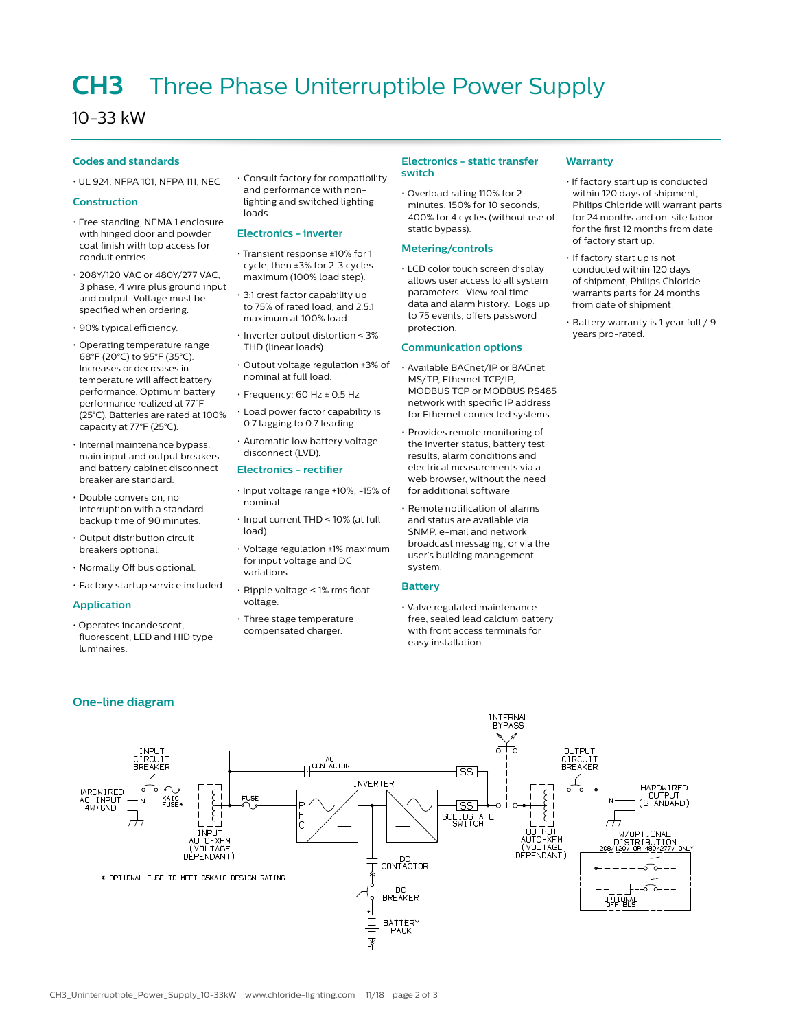## **CH3** Three Phase Uniterruptible Power Supply

### 10-33 kW

#### **Codes and standards**

• UL 924, NFPA 101, NFPA 111, NEC

#### **Construction**

- Free standing, NEMA 1 enclosure with hinged door and powder coat finish with top access for conduit entries.
- 208Y/120 VAC or 480Y/277 VAC, 3 phase, 4 wire plus ground input and output. Voltage must be specified when ordering.
- 90% typical efficiency.
- Operating temperature range 68°F (20°C) to 95°F (35°C). Increases or decreases in temperature will affect battery performance. Optimum battery performance realized at 77°F (25°C). Batteries are rated at 100% capacity at 77°F (25°C).
- Internal maintenance bypass, main input and output breakers and battery cabinet disconnect breaker are standard.
- Double conversion, no interruption with a standard backup time of 90 minutes.
- Output distribution circuit breakers optional.
- Normally Off bus optional.
- Factory startup service included.

#### **Application**

HARDWIRED<br>AC INPUT<br>4W+GND

• Operates incandescent, fluorescent, LED and HID type luminaires.

INPUT<br>CIRCUIT<br>BREAKER

 $\overline{N}$ 

 $\overline{\overline{}}$ 

KAIC<br>FUSE\*

• Consult factory for compatibility and performance with nonlighting and switched lighting loads.

#### **Electronics - inverter**

- Transient response ±10% for 1 cycle, then ±3% for 2-3 cycles maximum (100% load step).
- 3:1 crest factor capability up to 75% of rated load, and 2.5:1 maximum at 100% load.
- Inverter output distortion < 3% THD (linear loads).
- Output voltage regulation ±3% of nominal at full load.
- Frequency: 60 Hz ± 0.5 Hz
- Load power factor capability is 0.7 lagging to 0.7 leading.
- Automatic low battery voltage disconnect (LVD).

#### **Electronics - rectifier**

- Input voltage range +10%, -15% of nominal.
- Input current THD < 10% (at full load).
- Voltage regulation ±1% maximum for input voltage and DC variations.
- Ripple voltage < 1% rms float voltage.

AC<br>CONTACTOR

**INVERTER** 

DC<br>CONTACTOR

DC<br>BREAKER

BATTERY<br>PACK

• Three stage temperature compensated charger.

#### **Electronics - static transfer switch**

• Overload rating 110% for 2 minutes, 150% for 10 seconds, 400% for 4 cycles (without use of static bypass).

#### **Metering/controls**

• LCD color touch screen display allows user access to all system parameters. View real time data and alarm history. Logs up to 75 events, offers password protection.

#### **Communication options**

- Available BACnet/IP or BACnet MS/TP, Ethernet TCP/IP, MODBUS TCP or MODBUS RS485 network with specific IP address for Ethernet connected systems.
- Provides remote monitoring of the inverter status, battery test results, alarm conditions and electrical measurements via a web browser, without the need for additional software.
- Remote notification of alarms and status are available via SNMP, e-mail and network broadcast messaging, or via the user's building management system.

#### **Battery**

• Valve regulated maintenance free, sealed lead calcium battery with front access terminals for easy installation.

SS<sup>1</sup>

{ss

SOLIDSTATE

INTERNAL<br>BYPASS

7

outPu

(VOLTAGE)

ALITO-XFM

OUTPUT<br>CIRCUIT<br>BREAKER

 $\overline{\mathcal{H}}$ 

OPTIONAL

HARDWIRED<br>OUTPUT<br>(STANDARD)

TRIBUTION<br>OR 480/277v ONLY

W/OPTIONAL

#### **Warranty**

- If factory start up is conducted within 120 days of shipment, Philips Chloride will warrant parts for 24 months and on-site labor for the first 12 months from date of factory start up.
- If factory start up is not conducted within 120 days of shipment, Philips Chloride warrants parts for 24 months from date of shipment.
- Battery warranty is 1 year full / 9 years pro-rated.

**FUSE** 

ξ

**TNPLIT** 

AUTO-XFM<br>(VOLTAGE)<br>DEPENDANT)

\* OPTIONAL FUSE TO MEET 65KAIC DESIGN RATING

#### **One-line diagram**